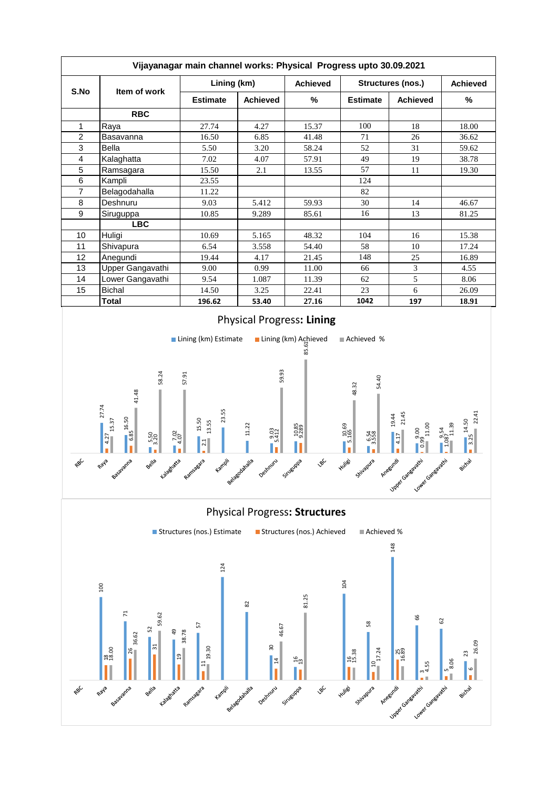